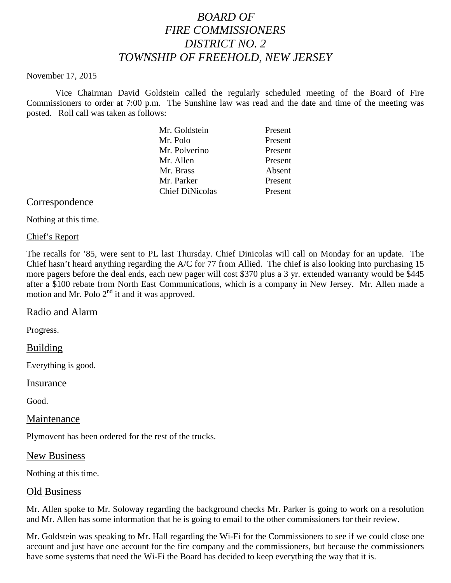# *BOARD OF FIRE COMMISSIONERS DISTRICT NO. 2 TOWNSHIP OF FREEHOLD, NEW JERSEY*

#### November 17, 2015

Vice Chairman David Goldstein called the regularly scheduled meeting of the Board of Fire Commissioners to order at 7:00 p.m. The Sunshine law was read and the date and time of the meeting was posted. Roll call was taken as follows:

| Mr. Goldstein          | Present |
|------------------------|---------|
| Mr. Polo               | Present |
| Mr. Polverino          | Present |
| Mr. Allen              | Present |
| Mr. Brass              | Absent  |
| Mr. Parker             | Present |
| <b>Chief DiNicolas</b> | Present |
|                        |         |

## Correspondence

Nothing at this time.

## Chief's Report

The recalls for '85, were sent to PL last Thursday. Chief Dinicolas will call on Monday for an update. The Chief hasn't heard anything regarding the A/C for 77 from Allied. The chief is also looking into purchasing 15 more pagers before the deal ends, each new pager will cost \$370 plus a 3 yr. extended warranty would be \$445 after a \$100 rebate from North East Communications, which is a company in New Jersey. Mr. Allen made a motion and Mr. Polo  $2<sup>nd</sup>$  it and it was approved.

## Radio and Alarm

Progress.

## Building

Everything is good.

#### Insurance

Good.

## Maintenance

Plymovent has been ordered for the rest of the trucks.

#### New Business

Nothing at this time.

## Old Business

Mr. Allen spoke to Mr. Soloway regarding the background checks Mr. Parker is going to work on a resolution and Mr. Allen has some information that he is going to email to the other commissioners for their review.

Mr. Goldstein was speaking to Mr. Hall regarding the Wi-Fi for the Commissioners to see if we could close one account and just have one account for the fire company and the commissioners, but because the commissioners have some systems that need the Wi-Fi the Board has decided to keep everything the way that it is.